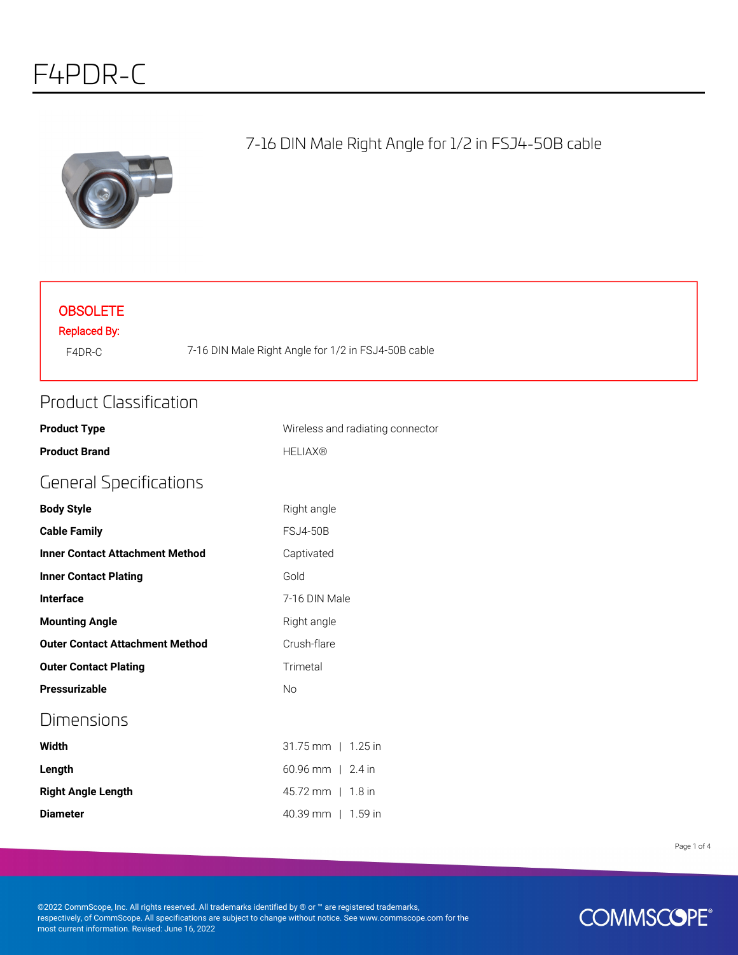

#### 7-16 DIN Male Right Angle for 1/2 in FSJ4-50B cable

#### **OBSOLETE**

Replaced By:

F4DR-C 7-16 DIN Male Right Angle for 1/2 in FSJ4-50B cable

#### Product Classification

| <b>Product Type</b>                    | Wireless and radiating connector |
|----------------------------------------|----------------------------------|
| <b>Product Brand</b>                   | <b>HELIAX®</b>                   |
| <b>General Specifications</b>          |                                  |
| <b>Body Style</b>                      | Right angle                      |
| <b>Cable Family</b>                    | <b>FSJ4-50B</b>                  |
| <b>Inner Contact Attachment Method</b> | Captivated                       |
| <b>Inner Contact Plating</b>           | Gold                             |
| <b>Interface</b>                       | 7-16 DIN Male                    |
| <b>Mounting Angle</b>                  | Right angle                      |
| <b>Outer Contact Attachment Method</b> | Crush-flare                      |
| <b>Outer Contact Plating</b>           | Trimetal                         |
| Pressurizable                          | <b>No</b>                        |
| Dimensions                             |                                  |
| Width                                  | $31.75$ mm   1.25 in             |
| Length                                 | $60.96$ mm   2.4 in              |
| <b>Right Angle Length</b>              | 45.72 mm   1.8 in                |
| <b>Diameter</b>                        | 40.39 mm   1.59 in               |

Page 1 of 4

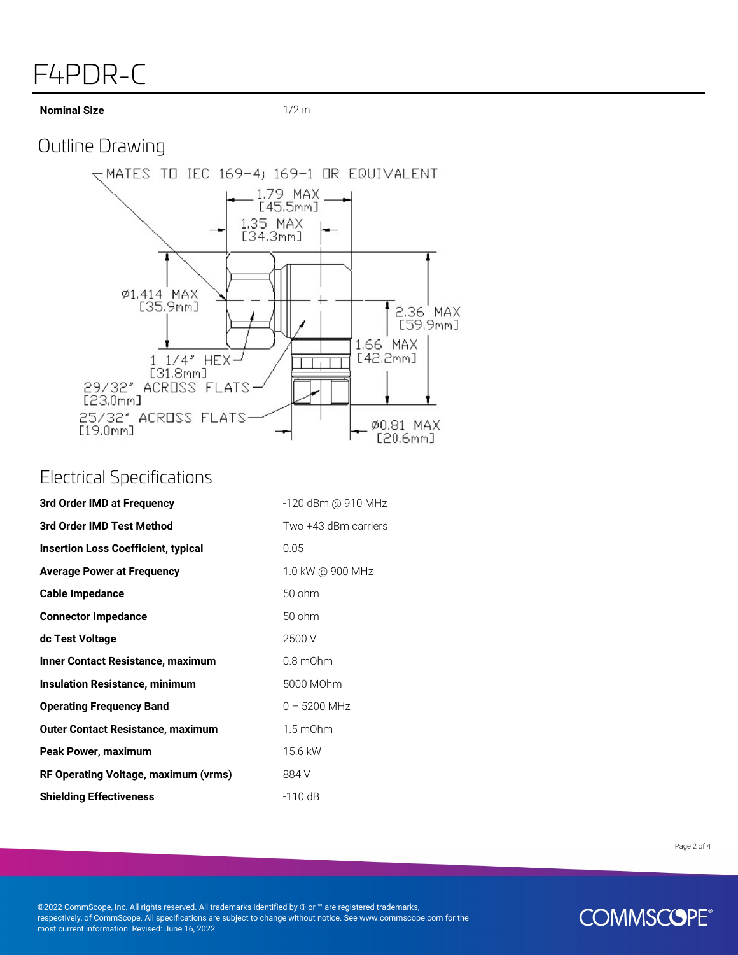# F4PDR-C

**Nominal Size** 1/2 in

# Outline Drawing



#### Electrical Specifications

| 3rd Order IMD at Frequency                 | -120 dBm @ 910 MHz   |
|--------------------------------------------|----------------------|
| 3rd Order IMD Test Method                  | Two +43 dBm carriers |
| <b>Insertion Loss Coefficient, typical</b> | 0.05                 |
| <b>Average Power at Frequency</b>          | 1.0 kW @ 900 MHz     |
| <b>Cable Impedance</b>                     | 50 ohm               |
| <b>Connector Impedance</b>                 | 50 ohm               |
| dc Test Voltage                            | 2500 V               |
| <b>Inner Contact Resistance, maximum</b>   | $0.8$ m $Ohm$        |
| <b>Insulation Resistance, minimum</b>      | 5000 MOhm            |
| <b>Operating Frequency Band</b>            | $0 - 5200$ MHz       |
| <b>Outer Contact Resistance, maximum</b>   | $1.5 \text{ mOhm}$   |
| Peak Power, maximum                        | 15.6 kW              |
| RF Operating Voltage, maximum (vrms)       | 884 V                |
| <b>Shielding Effectiveness</b>             | $-110$ dB            |

Page 2 of 4

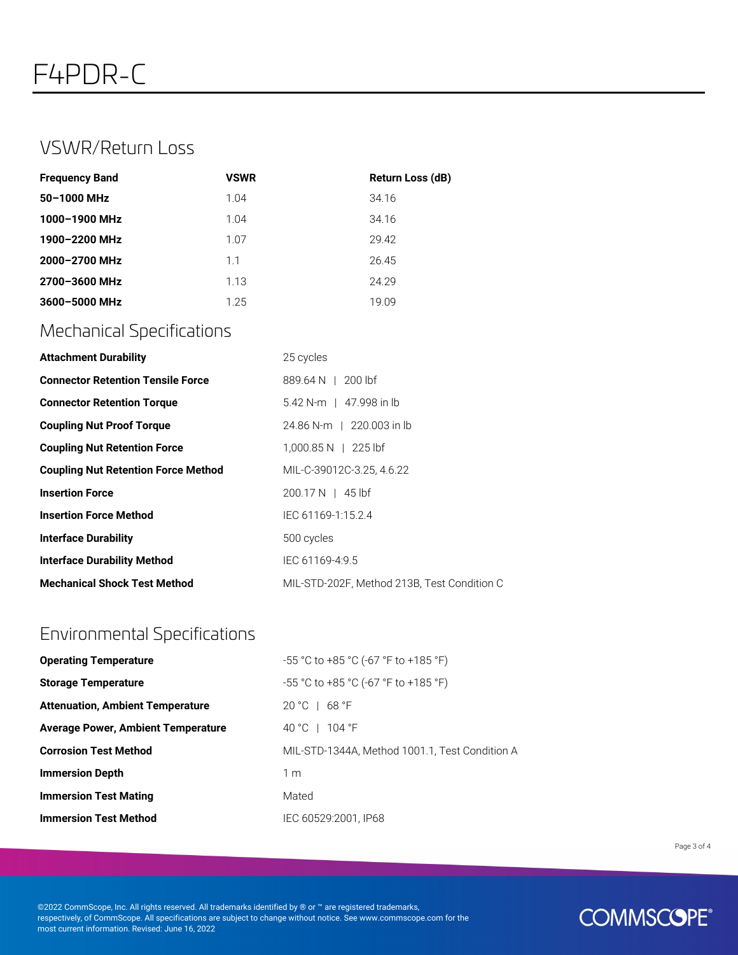### VSWR/Return Loss

| <b>Frequency Band</b> | <b>VSWR</b> | <b>Return Loss (dB)</b> |
|-----------------------|-------------|-------------------------|
| 50-1000 MHz           | 1.04        | 34.16                   |
| 1000-1900 MHz         | 1.04        | 34.16                   |
| 1900-2200 MHz         | 1.07        | 29.42                   |
| 2000-2700 MHz         | 1.1         | 26.45                   |
| 2700-3600 MHz         | 1.13        | 24.29                   |
| 3600-5000 MHz         | 1.25        | 19.09                   |

# Mechanical Specifications

| <b>Attachment Durability</b>               | 25 cycles                                   |
|--------------------------------------------|---------------------------------------------|
| <b>Connector Retention Tensile Force</b>   | 889.64 N   200 lbf                          |
| <b>Connector Retention Torque</b>          | 5.42 N-m   47.998 in lb                     |
| <b>Coupling Nut Proof Torque</b>           | 24.86 N-m   220.003 in lb                   |
| <b>Coupling Nut Retention Force</b>        | $1,000.85 N$   225 lbf                      |
| <b>Coupling Nut Retention Force Method</b> | MIL-C-39012C-3.25, 4.6.22                   |
| <b>Insertion Force</b>                     | $200.17 N$   45 lbf                         |
| <b>Insertion Force Method</b>              | IEC 61169-1:15.2.4                          |
| <b>Interface Durability</b>                | 500 cycles                                  |
| <b>Interface Durability Method</b>         | IEC 61169-4:9.5                             |
| <b>Mechanical Shock Test Method</b>        | MIL-STD-202F, Method 213B, Test Condition C |

# Environmental Specifications

| <b>Operating Temperature</b>              | $-55$ °C to +85 °C (-67 °F to +185 °F)         |
|-------------------------------------------|------------------------------------------------|
| <b>Storage Temperature</b>                | $-55$ °C to +85 °C (-67 °F to +185 °F)         |
| <b>Attenuation, Ambient Temperature</b>   | $20 °C + 68 °F$                                |
| <b>Average Power, Ambient Temperature</b> | 40 °C   104 °F                                 |
| <b>Corrosion Test Method</b>              | MIL-STD-1344A, Method 1001.1, Test Condition A |
| <b>Immersion Depth</b>                    | 1 m                                            |
| <b>Immersion Test Mating</b>              | Mated                                          |
| <b>Immersion Test Method</b>              | IEC 60529:2001. IP68                           |

Page 3 of 4